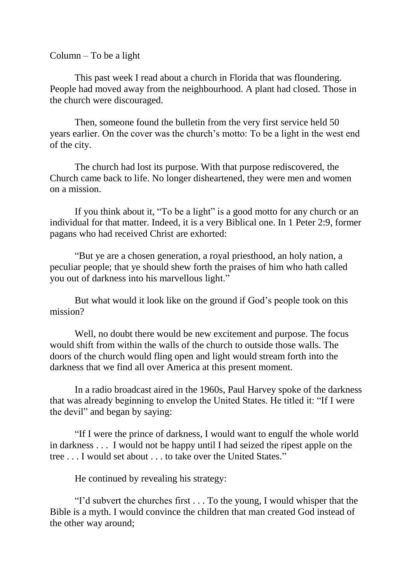Column – To be a light

This past week I read about a church in Florida that was floundering. People had moved away from the neighbourhood. A plant had closed. Those in the church were discouraged.

Then, someone found the bulletin from the very first service held 50 years earlier. On the cover was the church's motto: To be a light in the west end of the city.

The church had lost its purpose. With that purpose rediscovered, the Church came back to life. No longer disheartened, they were men and women on a mission.

If you think about it, "To be a light" is a good motto for any church or an individual for that matter. Indeed, it is a very Biblical one. In 1 Peter 2:9, former pagans who had received Christ are exhorted:

"But ye are a chosen generation, a royal priesthood, an holy nation, a peculiar people; that ye should shew forth the praises of him who hath called you out of darkness into his marvellous light."

But what would it look like on the ground if God's people took on this mission?

Well, no doubt there would be new excitement and purpose. The focus would shift from within the walls of the church to outside those walls. The doors of the church would fling open and light would stream forth into the darkness that we find all over America at this present moment.

In a radio broadcast aired in the 1960s, Paul Harvey spoke of the darkness that was already beginning to envelop the United States. He titled it: "If I were the devil" and began by saying:

"If I were the prince of darkness, I would want to engulf the whole world in darkness . . . I would not be happy until I had seized the ripest apple on the tree . . . I would set about . . . to take over the United States."

He continued by revealing his strategy:

"I'd subvert the churches first . . . To the young, I would whisper that the Bible is a myth. I would convince the children that man created God instead of the other way around;